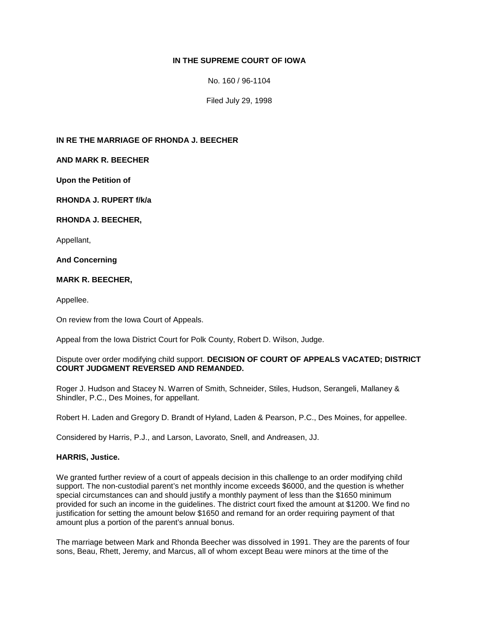# **IN THE SUPREME COURT OF IOWA**

No. 160 / 96-1104

Filed July 29, 1998

### **IN RE THE MARRIAGE OF RHONDA J. BEECHER**

## **AND MARK R. BEECHER**

**Upon the Petition of**

**RHONDA J. RUPERT f/k/a** 

#### **RHONDA J. BEECHER,**

Appellant,

**And Concerning**

## **MARK R. BEECHER,**

Appellee.

On review from the Iowa Court of Appeals.

Appeal from the Iowa District Court for Polk County, Robert D. Wilson, Judge.

#### Dispute over order modifying child support. **DECISION OF COURT OF APPEALS VACATED; DISTRICT COURT JUDGMENT REVERSED AND REMANDED.**

Roger J. Hudson and Stacey N. Warren of Smith, Schneider, Stiles, Hudson, Serangeli, Mallaney & Shindler, P.C., Des Moines, for appellant.

Robert H. Laden and Gregory D. Brandt of Hyland, Laden & Pearson, P.C., Des Moines, for appellee.

Considered by Harris, P.J., and Larson, Lavorato, Snell, and Andreasen, JJ.

#### **HARRIS, Justice.**

We granted further review of a court of appeals decision in this challenge to an order modifying child support. The non-custodial parent's net monthly income exceeds \$6000, and the question is whether special circumstances can and should justify a monthly payment of less than the \$1650 minimum provided for such an income in the guidelines. The district court fixed the amount at \$1200. We find no justification for setting the amount below \$1650 and remand for an order requiring payment of that amount plus a portion of the parent's annual bonus.

The marriage between Mark and Rhonda Beecher was dissolved in 1991. They are the parents of four sons, Beau, Rhett, Jeremy, and Marcus, all of whom except Beau were minors at the time of the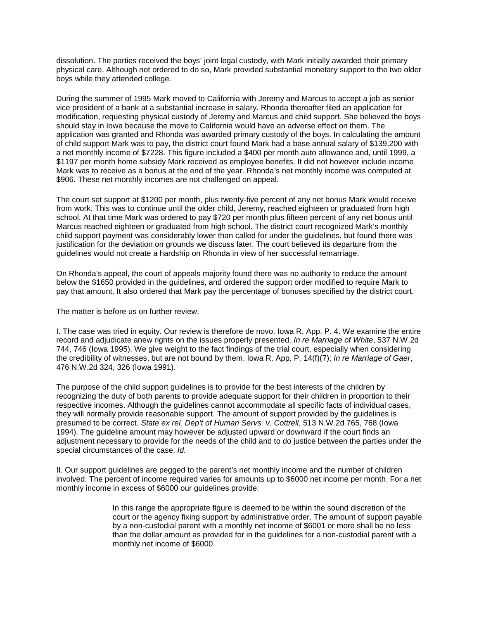dissolution. The parties received the boys' joint legal custody, with Mark initially awarded their primary physical care. Although not ordered to do so, Mark provided substantial monetary support to the two older boys while they attended college.

During the summer of 1995 Mark moved to California with Jeremy and Marcus to accept a job as senior vice president of a bank at a substantial increase in salary. Rhonda thereafter filed an application for modification, requesting physical custody of Jeremy and Marcus and child support. She believed the boys should stay in Iowa because the move to California would have an adverse effect on them. The application was granted and Rhonda was awarded primary custody of the boys. In calculating the amount of child support Mark was to pay, the district court found Mark had a base annual salary of \$139,200 with a net monthly income of \$7228. This figure included a \$400 per month auto allowance and, until 1999, a \$1197 per month home subsidy Mark received as employee benefits. It did not however include income Mark was to receive as a bonus at the end of the year. Rhonda's net monthly income was computed at \$906. These net monthly incomes are not challenged on appeal.

The court set support at \$1200 per month, plus twenty-five percent of any net bonus Mark would receive from work. This was to continue until the older child, Jeremy, reached eighteen or graduated from high school. At that time Mark was ordered to pay \$720 per month plus fifteen percent of any net bonus until Marcus reached eighteen or graduated from high school. The district court recognized Mark's monthly child support payment was considerably lower than called for under the guidelines, but found there was justification for the deviation on grounds we discuss later. The court believed its departure from the guidelines would not create a hardship on Rhonda in view of her successful remarriage.

On Rhonda's appeal, the court of appeals majority found there was no authority to reduce the amount below the \$1650 provided in the guidelines, and ordered the support order modified to require Mark to pay that amount. It also ordered that Mark pay the percentage of bonuses specified by the district court.

The matter is before us on further review.

I. The case was tried in equity. Our review is therefore de novo. Iowa R. App. P. 4. We examine the entire record and adjudicate anew rights on the issues properly presented. *In re Marriage of White*, 537 N.W.2d 744, 746 (Iowa 1995). We give weight to the fact findings of the trial court, especially when considering the credibility of witnesses, but are not bound by them. Iowa R. App. P. 14(f)(7); *In re Marriage of Gaer*, 476 N.W.2d 324, 326 (Iowa 1991).

The purpose of the child support guidelines is to provide for the best interests of the children by recognizing the duty of both parents to provide adequate support for their children in proportion to their respective incomes. Although the guidelines cannot accommodate all specific facts of individual cases, they will normally provide reasonable support. The amount of support provided by the guidelines is presumed to be correct. *State ex rel. Dep't of Human Servs. v. Cottrell*, 513 N.W.2d 765, 768 (Iowa 1994). The guideline amount may however be adjusted upward or downward if the court finds an adjustment necessary to provide for the needs of the child and to do justice between the parties under the special circumstances of the case. *Id.*

II. Our support guidelines are pegged to the parent's net monthly income and the number of children involved. The percent of income required varies for amounts up to \$6000 net income per month. For a net monthly income in excess of \$6000 our guidelines provide:

> In this range the appropriate figure is deemed to be within the sound discretion of the court or the agency fixing support by administrative order. The amount of support payable by a non-custodial parent with a monthly net income of \$6001 or more shall be no less than the dollar amount as provided for in the guidelines for a non-custodial parent with a monthly net income of \$6000.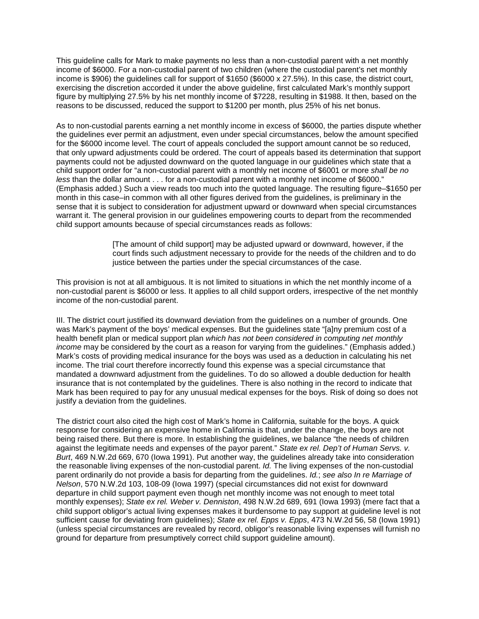This guideline calls for Mark to make payments no less than a non-custodial parent with a net monthly income of \$6000. For a non-custodial parent of two children (where the custodial parent's net monthly income is \$906) the guidelines call for support of \$1650 (\$6000 x 27.5%). In this case, the district court, exercising the discretion accorded it under the above guideline, first calculated Mark's monthly support figure by multiplying 27.5% by his net monthly income of \$7228, resulting in \$1988. It then, based on the reasons to be discussed, reduced the support to \$1200 per month, plus 25% of his net bonus.

As to non-custodial parents earning a net monthly income in excess of \$6000, the parties dispute whether the guidelines ever permit an adjustment, even under special circumstances, below the amount specified for the \$6000 income level. The court of appeals concluded the support amount cannot be so reduced, that only upward adjustments could be ordered. The court of appeals based its determination that support payments could not be adjusted downward on the quoted language in our guidelines which state that a child support order for "a non-custodial parent with a monthly net income of \$6001 or more *shall be no less* than the dollar amount . . . for a non-custodial parent with a monthly net income of \$6000." (Emphasis added.) Such a view reads too much into the quoted language. The resulting figure–\$1650 per month in this case–in common with all other figures derived from the guidelines, is preliminary in the sense that it is subject to consideration for adjustment upward or downward when special circumstances warrant it. The general provision in our guidelines empowering courts to depart from the recommended child support amounts because of special circumstances reads as follows:

> [The amount of child support] may be adjusted upward or downward, however, if the court finds such adjustment necessary to provide for the needs of the children and to do justice between the parties under the special circumstances of the case.

This provision is not at all ambiguous. It is not limited to situations in which the net monthly income of a non-custodial parent is \$6000 or less. It applies to all child support orders, irrespective of the net monthly income of the non-custodial parent.

III. The district court justified its downward deviation from the guidelines on a number of grounds. One was Mark's payment of the boys' medical expenses. But the guidelines state "[a]ny premium cost of a health benefit plan or medical support plan *which has not been considered in computing net monthly income* may be considered by the court as a reason for varying from the guidelines." (Emphasis added.) Mark's costs of providing medical insurance for the boys was used as a deduction in calculating his net income. The trial court therefore incorrectly found this expense was a special circumstance that mandated a downward adjustment from the guidelines. To do so allowed a double deduction for health insurance that is not contemplated by the guidelines. There is also nothing in the record to indicate that Mark has been required to pay for any unusual medical expenses for the boys. Risk of doing so does not justify a deviation from the guidelines.

The district court also cited the high cost of Mark's home in California, suitable for the boys. A quick response for considering an expensive home in California is that, under the change, the boys are not being raised there. But there is more. In establishing the guidelines, we balance "the needs of children against the legitimate needs and expenses of the payor parent." *State ex rel. Dep't of Human Servs. v. Burt*, 469 N.W.2d 669, 670 (Iowa 1991). Put another way, the guidelines already take into consideration the reasonable living expenses of the non-custodial parent. *Id.* The living expenses of the non-custodial parent ordinarily do not provide a basis for departing from the guidelines. *Id.*; *see also In re Marriage of Nelson*, 570 N.W.2d 103, 108-09 (Iowa 1997) (special circumstances did not exist for downward departure in child support payment even though net monthly income was not enough to meet total monthly expenses); *State ex rel. Weber v. Denniston*, 498 N.W.2d 689, 691 (Iowa 1993) (mere fact that a child support obligor's actual living expenses makes it burdensome to pay support at guideline level is not sufficient cause for deviating from guidelines); *State ex rel. Epps v. Epps*, 473 N.W.2d 56, 58 (Iowa 1991) (unless special circumstances are revealed by record, obligor's reasonable living expenses will furnish no ground for departure from presumptively correct child support guideline amount).